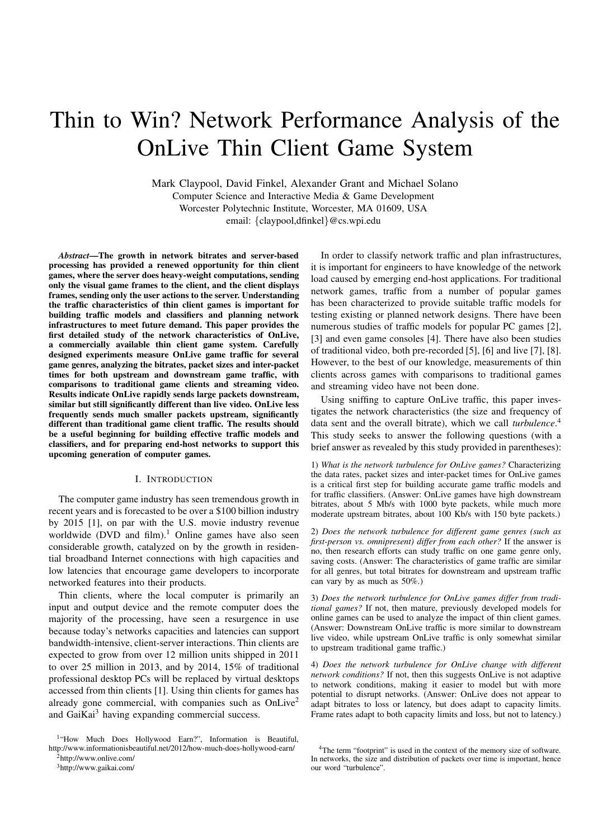# Thin to Win? Network Performance Analysis of the OnLive Thin Client Game System

Mark Claypool, David Finkel, Alexander Grant and Michael Solano Computer Science and Interactive Media & Game Development Worcester Polytechnic Institute, Worcester, MA 01609, USA email: {claypool,dfinkel}@cs.wpi.edu

*Abstract***—The growth in network bitrates and server-based processing has provided a renewed opportunity for thin client games, where the server does heavy-weight computations, sending only the visual game frames to the client, and the client displays frames, sending only the user actions to the server. Understanding the traffic characteristics of thin client games is important for building traffic models and classifiers and planning network infrastructures to meet future demand. This paper provides the first detailed study of the network characteristics of OnLive, a commercially available thin client game system. Carefully designed experiments measure OnLive game traffic for several game genres, analyzing the bitrates, packet sizes and inter-packet times for both upstream and downstream game traffic, with comparisons to traditional game clients and streaming video. Results indicate OnLive rapidly sends large packets downstream, similar but still significantly different than live video. OnLive less frequently sends much smaller packets upstream, significantly different than traditional game client traffic. The results should be a useful beginning for building effective traffic models and classifiers, and for preparing end-host networks to support this upcoming generation of computer games.**

## I. INTRODUCTION

The computer game industry has seen tremendous growth in recent years and is forecasted to be over a \$100 billion industry by 2015 [1], on par with the U.S. movie industry revenue worldwide (DVD and film).<sup>1</sup> Online games have also seen considerable growth, catalyzed on by the growth in residential broadband Internet connections with high capacities and low latencies that encourage game developers to incorporate networked features into their products.

Thin clients, where the local computer is primarily an input and output device and the remote computer does the majority of the processing, have seen a resurgence in use because today's networks capacities and latencies can support bandwidth-intensive, client-server interactions. Thin clients are expected to grow from over 12 million units shipped in 2011 to over 25 million in 2013, and by 2014, 15% of traditional professional desktop PCs will be replaced by virtual desktops accessed from thin clients [1]. Using thin clients for games has already gone commercial, with companies such as OnLive<sup>2</sup> and GaiKai<sup>3</sup> having expanding commercial success.

<sup>1</sup>"How Much Does Hollywood Earn?", Information is Beautiful, http://www.informationisbeautiful.net/2012/how-much-does-hollywood-earn/

 $2$ http://www.onlive.com/

<sup>3</sup>http://www.gaikai.com/

In order to classify network traffic and plan infrastructures, it is important for engineers to have knowledge of the network load caused by emerging end-host applications. For traditional network games, traffic from a number of popular games has been characterized to provide suitable traffic models for testing existing or planned network designs. There have been numerous studies of traffic models for popular PC games [2], [3] and even game consoles [4]. There have also been studies of traditional video, both pre-recorded [5], [6] and live [7], [8]. However, to the best of our knowledge, measurements of thin clients across games with comparisons to traditional games and streaming video have not been done.

Using sniffing to capture OnLive traffic, this paper investigates the network characteristics (the size and frequency of data sent and the overall bitrate), which we call *turbulence*. 4 This study seeks to answer the following questions (with a brief answer as revealed by this study provided in parentheses):

1) *What is the network turbulence for OnLive games?* Characterizing the data rates, packet sizes and inter-packet times for OnLive games is a critical first step for building accurate game traffic models and for traffic classifiers. (Answer: OnLive games have high downstream bitrates, about 5 Mb/s with 1000 byte packets, while much more moderate upstream bitrates, about 100 Kb/s with 150 byte packets.)

2) *Does the network turbulence for different game genres (such as first-person vs. omnipresent) differ from each other?* If the answer is no, then research efforts can study traffic on one game genre only, saving costs. (Answer: The characteristics of game traffic are similar for all genres, but total bitrates for downstream and upstream traffic can vary by as much as 50%.)

3) *Does the network turbulence for OnLive games differ from traditional games?* If not, then mature, previously developed models for online games can be used to analyze the impact of thin client games. (Answer: Downstream OnLive traffic is more similar to downstream live video, while upstream OnLive traffic is only somewhat similar to upstream traditional game traffic.)

4) *Does the network turbulence for OnLive change with different network conditions?* If not, then this suggests OnLive is not adaptive to network conditions, making it easier to model but with more potential to disrupt networks. (Answer: OnLive does not appear to adapt bitrates to loss or latency, but does adapt to capacity limits. Frame rates adapt to both capacity limits and loss, but not to latency.)

<sup>&</sup>lt;sup>4</sup>The term "footprint" is used in the context of the memory size of software. In networks, the size and distribution of packets over time is important, hence our word "turbulence".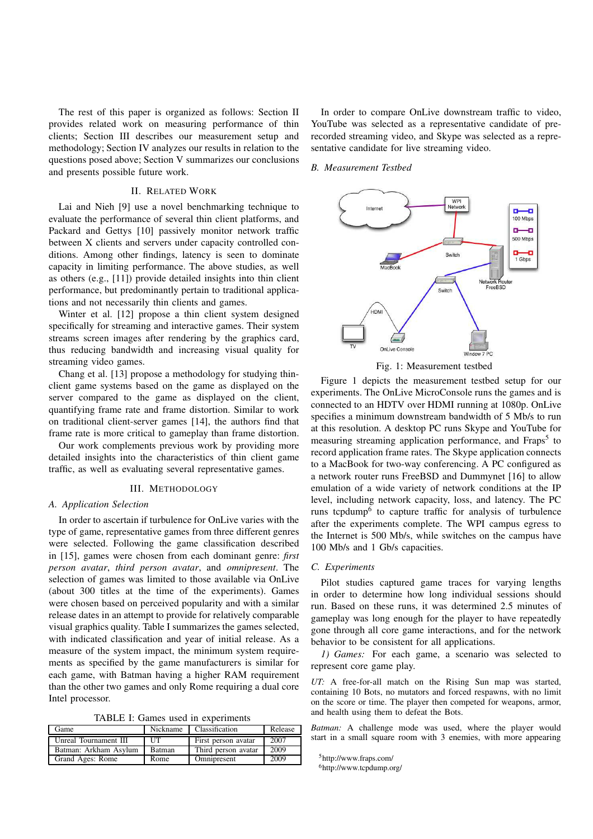The rest of this paper is organized as follows: Section II provides related work on measuring performance of thin clients; Section III describes our measurement setup and methodology; Section IV analyzes our results in relation to the questions posed above; Section V summarizes our conclusions and presents possible future work.

## II. RELATED WORK

Lai and Nieh [9] use a novel benchmarking technique to evaluate the performance of several thin client platforms, and Packard and Gettys [10] passively monitor network traffic between X clients and servers under capacity controlled conditions. Among other findings, latency is seen to dominate capacity in limiting performance. The above studies, as well as others (e.g., [11]) provide detailed insights into thin client performance, but predominantly pertain to traditional applications and not necessarily thin clients and games.

Winter et al. [12] propose a thin client system designed specifically for streaming and interactive games. Their system streams screen images after rendering by the graphics card, thus reducing bandwidth and increasing visual quality for streaming video games.

Chang et al. [13] propose a methodology for studying thinclient game systems based on the game as displayed on the server compared to the game as displayed on the client, quantifying frame rate and frame distortion. Similar to work on traditional client-server games [14], the authors find that frame rate is more critical to gameplay than frame distortion.

Our work complements previous work by providing more detailed insights into the characteristics of thin client game traffic, as well as evaluating several representative games.

## III. METHODOLOGY

## *A. Application Selection*

In order to ascertain if turbulence for OnLive varies with the type of game, representative games from three different genres were selected. Following the game classification described in [15], games were chosen from each dominant genre: *first person avatar*, *third person avatar*, and *omnipresent*. The selection of games was limited to those available via OnLive (about 300 titles at the time of the experiments). Games were chosen based on perceived popularity and with a similar release dates in an attempt to provide for relatively comparable visual graphics quality. Table I summarizes the games selected, with indicated classification and year of initial release. As a measure of the system impact, the minimum system requirements as specified by the game manufacturers is similar for each game, with Batman having a higher RAM requirement than the other two games and only Rome requiring a dual core Intel processor.

TABLE I: Games used in experiments

| Game                  |               | Nickname   Classification | Release |
|-----------------------|---------------|---------------------------|---------|
| Unreal Tournament III | LIT           | First person avatar       | 2007    |
| Batman: Arkham Asylum | <b>Batman</b> | Third person avatar       | 2009    |
| Grand Ages: Rome      | Rome          | Omnipresent               | 2009    |

In order to compare OnLive downstream traffic to video, YouTube was selected as a representative candidate of prerecorded streaming video, and Skype was selected as a representative candidate for live streaming video.

#### *B. Measurement Testbed*



Fig. 1: Measurement testbed

Figure 1 depicts the measurement testbed setup for our experiments. The OnLive MicroConsole runs the games and is connected to an HDTV over HDMI running at 1080p. OnLive specifies a minimum downstream bandwidth of 5 Mb/s to run at this resolution. A desktop PC runs Skype and YouTube for measuring streaming application performance, and Fraps<sup>5</sup> to record application frame rates. The Skype application connects to a MacBook for two-way conferencing. A PC configured as a network router runs FreeBSD and Dummynet [16] to allow emulation of a wide variety of network conditions at the IP level, including network capacity, loss, and latency. The PC runs tcpdump<sup>6</sup> to capture traffic for analysis of turbulence after the experiments complete. The WPI campus egress to the Internet is 500 Mb/s, while switches on the campus have 100 Mb/s and 1 Gb/s capacities.

#### *C. Experiments*

Pilot studies captured game traces for varying lengths in order to determine how long individual sessions should run. Based on these runs, it was determined 2.5 minutes of gameplay was long enough for the player to have repeatedly gone through all core game interactions, and for the network behavior to be consistent for all applications.

*1) Games:* For each game, a scenario was selected to represent core game play.

*UT:* A free-for-all match on the Rising Sun map was started, containing 10 Bots, no mutators and forced respawns, with no limit on the score or time. The player then competed for weapons, armor, and health using them to defeat the Bots.

*Batman:* A challenge mode was used, where the player would start in a small square room with 3 enemies, with more appearing

<sup>5</sup>http://www.fraps.com/

<sup>6</sup>http://www.tcpdump.org/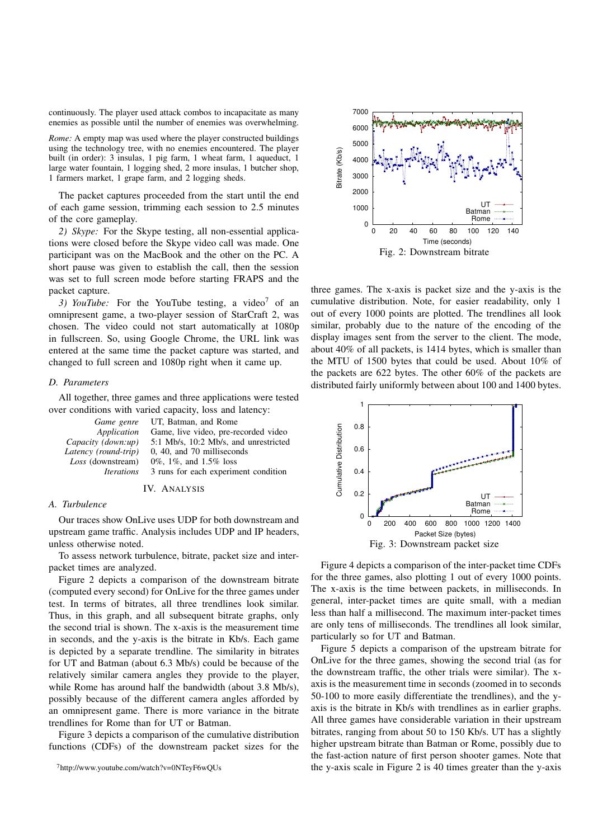continuously. The player used attack combos to incapacitate as many enemies as possible until the number of enemies was overwhelming.

*Rome:* A empty map was used where the player constructed buildings using the technology tree, with no enemies encountered. The player built (in order): 3 insulas, 1 pig farm, 1 wheat farm, 1 aqueduct, 1 large water fountain, 1 logging shed, 2 more insulas, 1 butcher shop, 1 farmers market, 1 grape farm, and 2 logging sheds.

The packet captures proceeded from the start until the end of each game session, trimming each session to 2.5 minutes of the core gameplay.

*2) Skype:* For the Skype testing, all non-essential applications were closed before the Skype video call was made. One participant was on the MacBook and the other on the PC. A short pause was given to establish the call, then the session was set to full screen mode before starting FRAPS and the packet capture.

3) YouTube: For the YouTube testing, a video<sup>7</sup> of an omnipresent game, a two-player session of StarCraft 2, was chosen. The video could not start automatically at 1080p in fullscreen. So, using Google Chrome, the URL link was entered at the same time the packet capture was started, and changed to full screen and 1080p right when it came up.

#### *D. Parameters*

All together, three games and three applications were tested over conditions with varied capacity, loss and latency:

| Game genre                      | UT, Batman, and Rome                  |
|---------------------------------|---------------------------------------|
| Application                     | Game, live video, pre-recorded video  |
| Capacity (down:up)              | 5:1 Mb/s, 10:2 Mb/s, and unrestricted |
| Latency (round-trip)            | 0, 40, and 70 milliseconds            |
| Loss (downstream)               | 0\%, 1\%, and 1.5\% loss              |
| <i><u><b>Iterations</b></u></i> | 3 runs for each experiment condition  |

## IV. ANALYSIS

### *A. Turbulence*

Our traces show OnLive uses UDP for both downstream and upstream game traffic. Analysis includes UDP and IP headers, unless otherwise noted.

To assess network turbulence, bitrate, packet size and interpacket times are analyzed.

Figure 2 depicts a comparison of the downstream bitrate (computed every second) for OnLive for the three games under test. In terms of bitrates, all three trendlines look similar. Thus, in this graph, and all subsequent bitrate graphs, only the second trial is shown. The x-axis is the measurement time in seconds, and the y-axis is the bitrate in Kb/s. Each game is depicted by a separate trendline. The similarity in bitrates for UT and Batman (about 6.3 Mb/s) could be because of the relatively similar camera angles they provide to the player, while Rome has around half the bandwidth (about 3.8 Mb/s), possibly because of the different camera angles afforded by an omnipresent game. There is more variance in the bitrate trendlines for Rome than for UT or Batman.

Figure 3 depicts a comparison of the cumulative distribution functions (CDFs) of the downstream packet sizes for the



three games. The x-axis is packet size and the y-axis is the cumulative distribution. Note, for easier readability, only 1 out of every 1000 points are plotted. The trendlines all look similar, probably due to the nature of the encoding of the display images sent from the server to the client. The mode, about 40% of all packets, is 1414 bytes, which is smaller than the MTU of 1500 bytes that could be used. About 10% of the packets are 622 bytes. The other 60% of the packets are distributed fairly uniformly between about 100 and 1400 bytes.



Figure 4 depicts a comparison of the inter-packet time CDFs for the three games, also plotting 1 out of every 1000 points. The x-axis is the time between packets, in milliseconds. In general, inter-packet times are quite small, with a median less than half a millisecond. The maximum inter-packet times are only tens of milliseconds. The trendlines all look similar, particularly so for UT and Batman.

Figure 5 depicts a comparison of the upstream bitrate for OnLive for the three games, showing the second trial (as for the downstream traffic, the other trials were similar). The xaxis is the measurement time in seconds (zoomed in to seconds 50-100 to more easily differentiate the trendlines), and the yaxis is the bitrate in Kb/s with trendlines as in earlier graphs. All three games have considerable variation in their upstream bitrates, ranging from about 50 to 150 Kb/s. UT has a slightly higher upstream bitrate than Batman or Rome, possibly due to the fast-action nature of first person shooter games. Note that the y-axis scale in Figure 2 is 40 times greater than the y-axis

<sup>7</sup>http://www.youtube.com/watch?v=0NTeyF6wQUs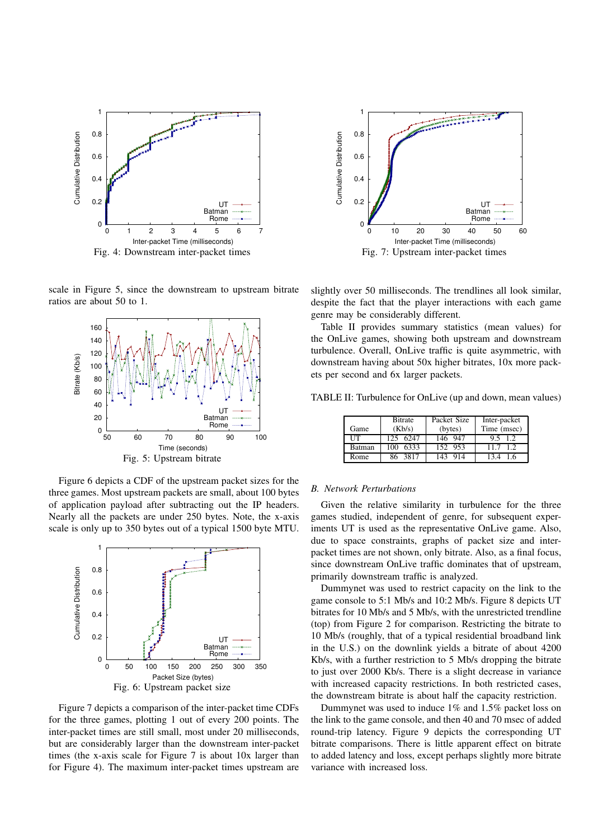

scale in Figure 5, since the downstream to upstream bitrate ratios are about 50 to 1.



Figure 6 depicts a CDF of the upstream packet sizes for the three games. Most upstream packets are small, about 100 bytes of application payload after subtracting out the IP headers. Nearly all the packets are under 250 bytes. Note, the x-axis scale is only up to 350 bytes out of a typical 1500 byte MTU.



Figure 7 depicts a comparison of the inter-packet time CDFs for the three games, plotting 1 out of every 200 points. The inter-packet times are still small, most under 20 milliseconds, but are considerably larger than the downstream inter-packet times (the x-axis scale for Figure 7 is about 10x larger than for Figure 4). The maximum inter-packet times upstream are



slightly over 50 milliseconds. The trendlines all look similar, despite the fact that the player interactions with each game genre may be considerably different.

Table II provides summary statistics (mean values) for the OnLive games, showing both upstream and downstream turbulence. Overall, OnLive traffic is quite asymmetric, with downstream having about 50x higher bitrates, 10x more packets per second and 6x larger packets.

TABLE II: Turbulence for OnLive (up and down, mean values)

|            | <b>B</b> itrate | Packet Size | Inter-packet |
|------------|-----------------|-------------|--------------|
| Game       | (Kb/s)          | (bytes)     | Time (msec)  |
| <b>ITT</b> | 125 6247        | 146 947     | 9.5 1.2      |
| Batman     | 6333<br>100     | 152 953     | 11.7 1.2     |
| Rome       | 86 3817         | 143<br>-914 | 134 16       |

## *B. Network Perturbations*

Given the relative similarity in turbulence for the three games studied, independent of genre, for subsequent experiments UT is used as the representative OnLive game. Also, due to space constraints, graphs of packet size and interpacket times are not shown, only bitrate. Also, as a final focus, since downstream OnLive traffic dominates that of upstream, primarily downstream traffic is analyzed.

Dummynet was used to restrict capacity on the link to the game console to 5:1 Mb/s and 10:2 Mb/s. Figure 8 depicts UT bitrates for 10 Mb/s and 5 Mb/s, with the unrestricted trendline (top) from Figure 2 for comparison. Restricting the bitrate to 10 Mb/s (roughly, that of a typical residential broadband link in the U.S.) on the downlink yields a bitrate of about 4200 Kb/s, with a further restriction to 5 Mb/s dropping the bitrate to just over 2000 Kb/s. There is a slight decrease in variance with increased capacity restrictions. In both restricted cases, the downstream bitrate is about half the capacity restriction.

Dummynet was used to induce 1% and 1.5% packet loss on the link to the game console, and then 40 and 70 msec of added round-trip latency. Figure 9 depicts the corresponding UT bitrate comparisons. There is little apparent effect on bitrate to added latency and loss, except perhaps slightly more bitrate variance with increased loss.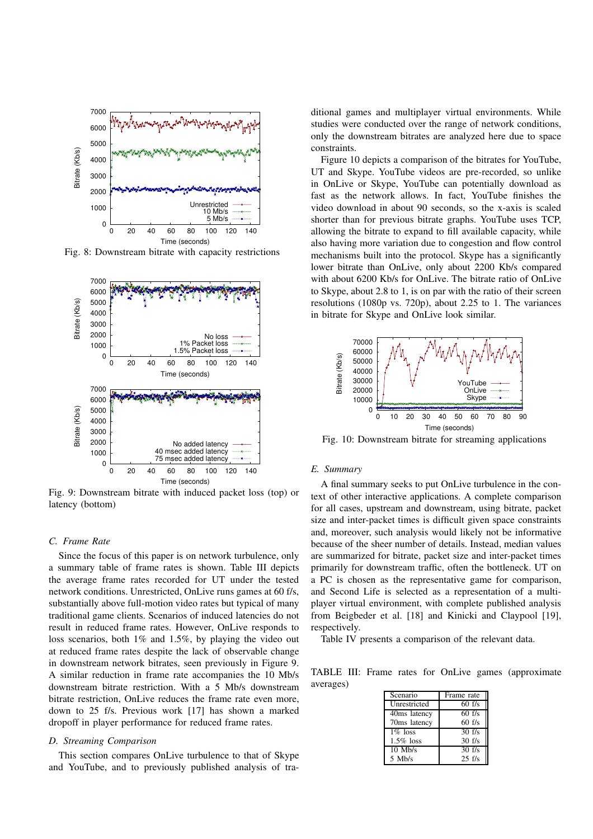

Fig. 8: Downstream bitrate with capacity restrictions



Fig. 9: Downstream bitrate with induced packet loss (top) or latency (bottom)

## *C. Frame Rate*

Since the focus of this paper is on network turbulence, only a summary table of frame rates is shown. Table III depicts the average frame rates recorded for UT under the tested network conditions. Unrestricted, OnLive runs games at 60 f/s, substantially above full-motion video rates but typical of many traditional game clients. Scenarios of induced latencies do not result in reduced frame rates. However, OnLive responds to loss scenarios, both 1% and 1.5%, by playing the video out at reduced frame rates despite the lack of observable change in downstream network bitrates, seen previously in Figure 9. A similar reduction in frame rate accompanies the 10 Mb/s downstream bitrate restriction. With a 5 Mb/s downstream bitrate restriction, OnLive reduces the frame rate even more, down to 25 f/s. Previous work [17] has shown a marked dropoff in player performance for reduced frame rates.

#### *D. Streaming Comparison*

This section compares OnLive turbulence to that of Skype and YouTube, and to previously published analysis of traditional games and multiplayer virtual environments. While studies were conducted over the range of network conditions, only the downstream bitrates are analyzed here due to space constraints.

Figure 10 depicts a comparison of the bitrates for YouTube, UT and Skype. YouTube videos are pre-recorded, so unlike in OnLive or Skype, YouTube can potentially download as fast as the network allows. In fact, YouTube finishes the video download in about 90 seconds, so the x-axis is scaled shorter than for previous bitrate graphs. YouTube uses TCP, allowing the bitrate to expand to fill available capacity, while also having more variation due to congestion and flow control mechanisms built into the protocol. Skype has a significantly lower bitrate than OnLive, only about 2200 Kb/s compared with about 6200 Kb/s for OnLive. The bitrate ratio of OnLive to Skype, about 2.8 to 1, is on par with the ratio of their screen resolutions (1080p vs. 720p), about 2.25 to 1. The variances in bitrate for Skype and OnLive look similar.



Fig. 10: Downstream bitrate for streaming applications

#### *E. Summary*

A final summary seeks to put OnLive turbulence in the context of other interactive applications. A complete comparison for all cases, upstream and downstream, using bitrate, packet size and inter-packet times is difficult given space constraints and, moreover, such analysis would likely not be informative because of the sheer number of details. Instead, median values are summarized for bitrate, packet size and inter-packet times primarily for downstream traffic, often the bottleneck. UT on a PC is chosen as the representative game for comparison, and Second Life is selected as a representation of a multiplayer virtual environment, with complete published analysis from Beigbeder et al. [18] and Kinicki and Claypool [19], respectively.

Table IV presents a comparison of the relevant data.

TABLE III: Frame rates for OnLive games (approximate averages)

| Scenario           | Frame rate          |
|--------------------|---------------------|
| Unrestricted       | $60$ f/s            |
| 40ms latency       | $60$ f/s            |
| 70ms latency       | $60$ f/s            |
| $\frac{1}{6}$ loss | $\overline{30}$ f/s |
| $1.5\%$ loss       | $30 \text{ f/s}$    |
| $10$ Mb/s          | $\overline{30}$ f/s |
| $5$ Mb/s           | $25$ f/s            |